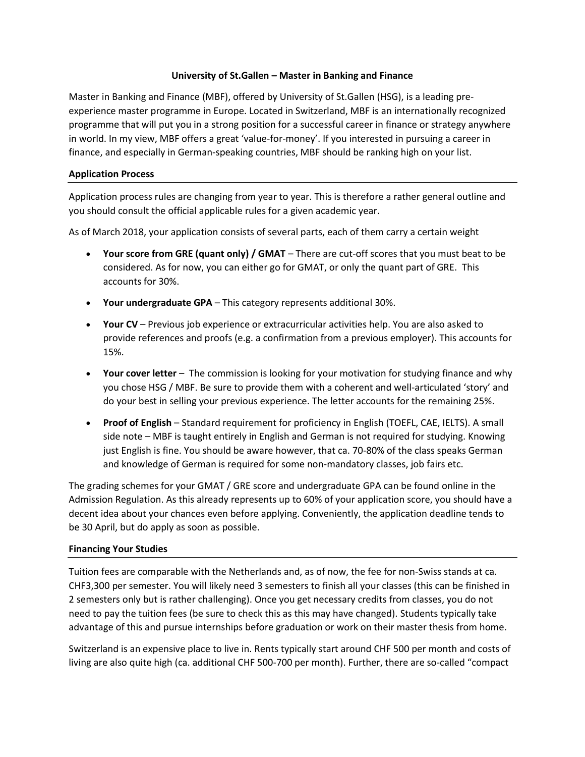# **University of St.Gallen – Master in Banking and Finance**

Master in Banking and Finance (MBF), offered by University of St.Gallen (HSG), is a leading preexperience master programme in Europe. Located in Switzerland, MBF is an internationally recognized programme that will put you in a strong position for a successful career in finance or strategy anywhere in world. In my view, MBF offers a great 'value-for-money'. If you interested in pursuing a career in finance, and especially in German-speaking countries, MBF should be ranking high on your list.

# **Application Process**

Application process rules are changing from year to year. This is therefore a rather general outline and you should consult the official applicable rules for a given academic year.

As of March 2018, your application consists of several parts, each of them carry a certain weight

- **Your score from GRE (quant only) / GMAT** There are cut-off scores that you must beat to be considered. As for now, you can either go for GMAT, or only the quant part of GRE. This accounts for 30%.
- **Your undergraduate GPA** This category represents additional 30%.
- **Your CV** Previous job experience or extracurricular activities help. You are also asked to provide references and proofs (e.g. a confirmation from a previous employer). This accounts for 15%.
- **Your cover letter** The commission is looking for your motivation for studying finance and why you chose HSG / MBF. Be sure to provide them with a coherent and well-articulated 'story' and do your best in selling your previous experience. The letter accounts for the remaining 25%.
- **Proof of English** Standard requirement for proficiency in English (TOEFL, CAE, IELTS). A small side note – MBF is taught entirely in English and German is not required for studying. Knowing just English is fine. You should be aware however, that ca. 70-80% of the class speaks German and knowledge of German is required for some non-mandatory classes, job fairs etc.

The grading schemes for your GMAT / GRE score and undergraduate GPA can be found online in the Admission Regulation. As this already represents up to 60% of your application score, you should have a decent idea about your chances even before applying. Conveniently, the application deadline tends to be 30 April, but do apply as soon as possible.

# **Financing Your Studies**

Tuition fees are comparable with the Netherlands and, as of now, the fee for non-Swiss stands at ca. CHF3,300 per semester. You will likely need 3 semesters to finish all your classes (this can be finished in 2 semesters only but is rather challenging). Once you get necessary credits from classes, you do not need to pay the tuition fees (be sure to check this as this may have changed). Students typically take advantage of this and pursue internships before graduation or work on their master thesis from home.

Switzerland is an expensive place to live in. Rents typically start around CHF 500 per month and costs of living are also quite high (ca. additional CHF 500-700 per month). Further, there are so-called "compact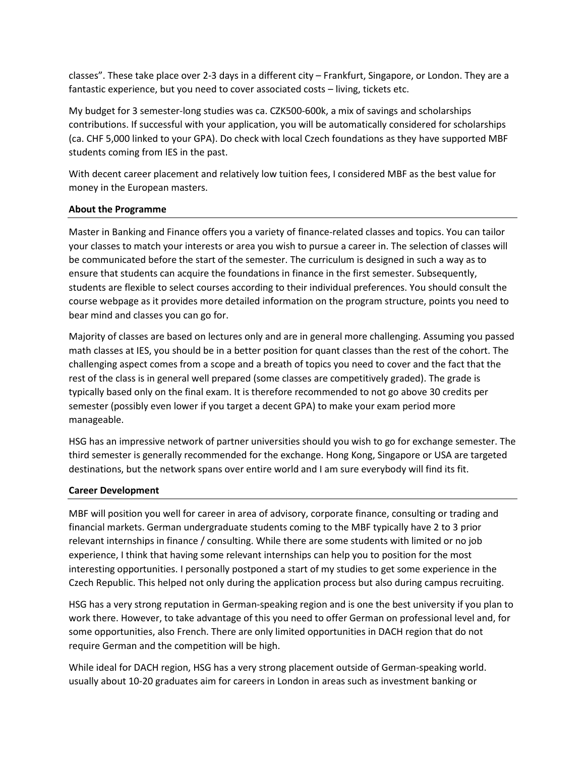classes". These take place over 2-3 days in a different city – Frankfurt, Singapore, or London. They are a fantastic experience, but you need to cover associated costs – living, tickets etc.

My budget for 3 semester-long studies was ca. CZK500-600k, a mix of savings and scholarships contributions. If successful with your application, you will be automatically considered for scholarships (ca. CHF 5,000 linked to your GPA). Do check with local Czech foundations as they have supported MBF students coming from IES in the past.

With decent career placement and relatively low tuition fees, I considered MBF as the best value for money in the European masters.

### **About the Programme**

Master in Banking and Finance offers you a variety of finance-related classes and topics. You can tailor your classes to match your interests or area you wish to pursue a career in. The selection of classes will be communicated before the start of the semester. The curriculum is designed in such a way as to ensure that students can acquire the foundations in finance in the first semester. Subsequently, students are flexible to select courses according to their individual preferences. You should consult the course webpage as it provides more detailed information on the program structure, points you need to bear mind and classes you can go for.

Majority of classes are based on lectures only and are in general more challenging. Assuming you passed math classes at IES, you should be in a better position for quant classes than the rest of the cohort. The challenging aspect comes from a scope and a breath of topics you need to cover and the fact that the rest of the class is in general well prepared (some classes are competitively graded). The grade is typically based only on the final exam. It is therefore recommended to not go above 30 credits per semester (possibly even lower if you target a decent GPA) to make your exam period more manageable.

HSG has an impressive network of partner universities should you wish to go for exchange semester. The third semester is generally recommended for the exchange. Hong Kong, Singapore or USA are targeted destinations, but the network spans over entire world and I am sure everybody will find its fit.

# **Career Development**

MBF will position you well for career in area of advisory, corporate finance, consulting or trading and financial markets. German undergraduate students coming to the MBF typically have 2 to 3 prior relevant internships in finance / consulting. While there are some students with limited or no job experience, I think that having some relevant internships can help you to position for the most interesting opportunities. I personally postponed a start of my studies to get some experience in the Czech Republic. This helped not only during the application process but also during campus recruiting.

HSG has a very strong reputation in German-speaking region and is one the best university if you plan to work there. However, to take advantage of this you need to offer German on professional level and, for some opportunities, also French. There are only limited opportunities in DACH region that do not require German and the competition will be high.

While ideal for DACH region, HSG has a very strong placement outside of German-speaking world. usually about 10-20 graduates aim for careers in London in areas such as investment banking or